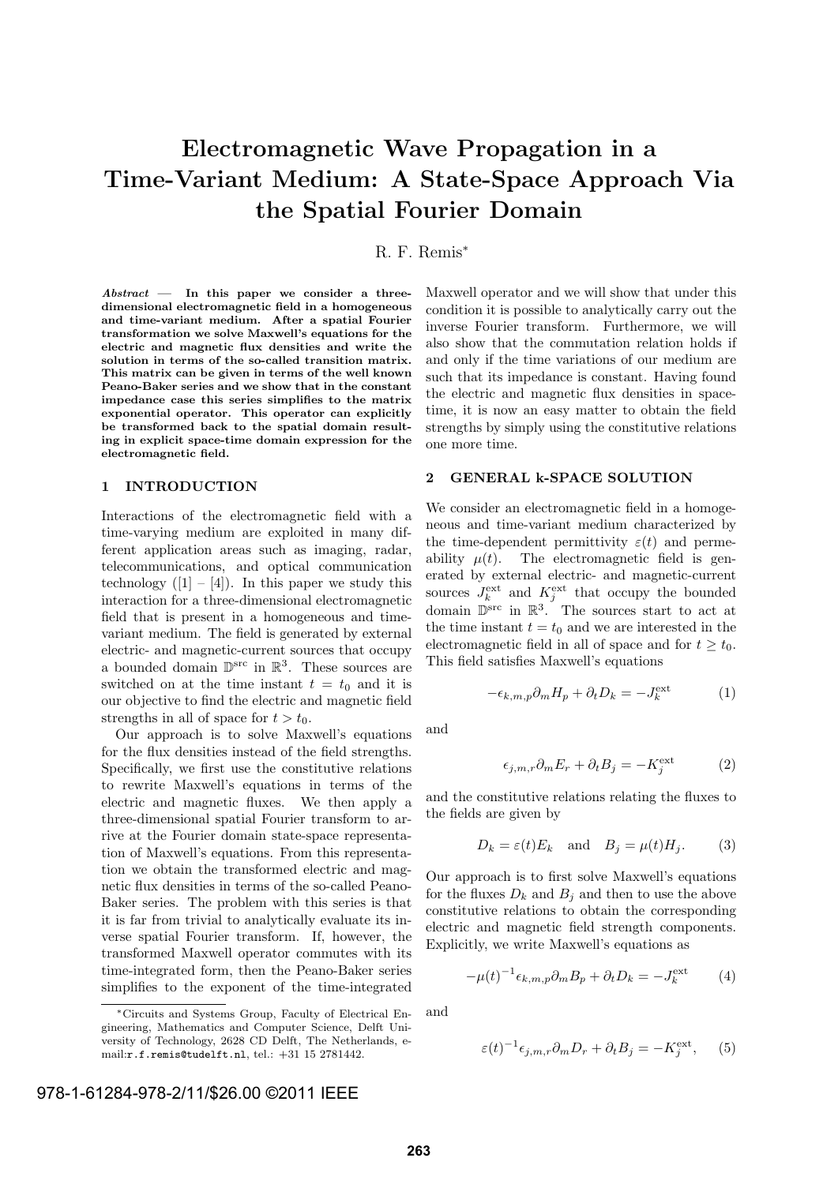# Electromagnetic Wave Propagation in a Time-Variant Medium: A State-Space Approach Via the Spatial Fourier Domain

## R. F. Remis<sup>∗</sup>

Abstract — In this paper we consider a threedimensional electromagnetic field in a homogeneous and time-variant medium. After a spatial Fourier transformation we solve Maxwell's equations for the electric and magnetic flux densities and write the solution in terms of the so-called transition matrix. This matrix can be given in terms of the well known Peano-Baker series and we show that in the constant impedance case this series simplifies to the matrix exponential operator. This operator can explicitly be transformed back to the spatial domain resulting in explicit space-time domain expression for the electromagnetic field.

## 1 INTRODUCTION

Interactions of the electromagnetic field with a time-varying medium are exploited in many different application areas such as imaging, radar, telecommunications, and optical communication technology  $([1] - [4])$ . In this paper we study this interaction for a three-dimensional electromagnetic field that is present in a homogeneous and timevariant medium. The field is generated by external electric- and magnetic-current sources that occupy a bounded domain  $\mathbb{D}^{\text{src}}$  in  $\mathbb{R}^3$ . These sources are switched on at the time instant  $t = t_0$  and it is our objective to find the electric and magnetic field strengths in all of space for  $t > t_0$ .

Our approach is to solve Maxwell's equations for the flux densities instead of the field strengths. Specifically, we first use the constitutive relations to rewrite Maxwell's equations in terms of the electric and magnetic fluxes. We then apply a three-dimensional spatial Fourier transform to arrive at the Fourier domain state-space representation of Maxwell's equations. From this representation we obtain the transformed electric and magnetic flux densities in terms of the so-called Peano-Baker series. The problem with this series is that it is far from trivial to analytically evaluate its inverse spatial Fourier transform. If, however, the transformed Maxwell operator commutes with its time-integrated form, then the Peano-Baker series simplifies to the exponent of the time-integrated

Maxwell operator and we will show that under this condition it is possible to analytically carry out the inverse Fourier transform. Furthermore, we will also show that the commutation relation holds if and only if the time variations of our medium are such that its impedance is constant. Having found the electric and magnetic flux densities in spacetime, it is now an easy matter to obtain the field strengths by simply using the constitutive relations one more time.

#### 2 GENERAL k-SPACE SOLUTION

We consider an electromagnetic field in a homogeneous and time-variant medium characterized by the time-dependent permittivity  $\varepsilon(t)$  and permeability  $\mu(t)$ . The electromagnetic field is generated by external electric- and magnetic-current sources  $J_k^{\text{ext}}$  and  $K_j^{\text{ext}}$  that occupy the bounded domain  $\mathbb{D}^{\text{src}}$  in  $\mathbb{R}^3$ . The sources start to act at the time instant  $t = t_0$  and we are interested in the electromagnetic field in all of space and for  $t > t_0$ . This field satisfies Maxwell's equations

$$
-\epsilon_{k,m,p}\partial_m H_p + \partial_t D_k = -J_k^{\text{ext}} \tag{1}
$$

and

$$
\epsilon_{j,m,r}\partial_m E_r + \partial_t B_j = -K_j^{\text{ext}} \tag{2}
$$

and the constitutive relations relating the fluxes to the fields are given by

$$
D_k = \varepsilon(t) E_k \quad \text{and} \quad B_j = \mu(t) H_j. \tag{3}
$$

Our approach is to first solve Maxwell's equations for the fluxes  $D_k$  and  $B_j$  and then to use the above constitutive relations to obtain the corresponding electric and magnetic field strength components. Explicitly, we write Maxwell's equations as

$$
-\mu(t)^{-1}\epsilon_{k,m,p}\partial_m B_p + \partial_t D_k = -J_k^{\text{ext}}\tag{4}
$$

and

$$
\varepsilon(t)^{-1} \epsilon_{j,m,r} \partial_m D_r + \partial_t B_j = -K_j^{\text{ext}}, \quad (5)
$$

<sup>∗</sup>Circuits and Systems Group, Faculty of Electrical Engineering, Mathematics and Computer Science, Delft University of Technology, 2628 CD Delft, The Netherlands, email:r.f.remis@tudelft.nl, tel.: +31 15 2781442.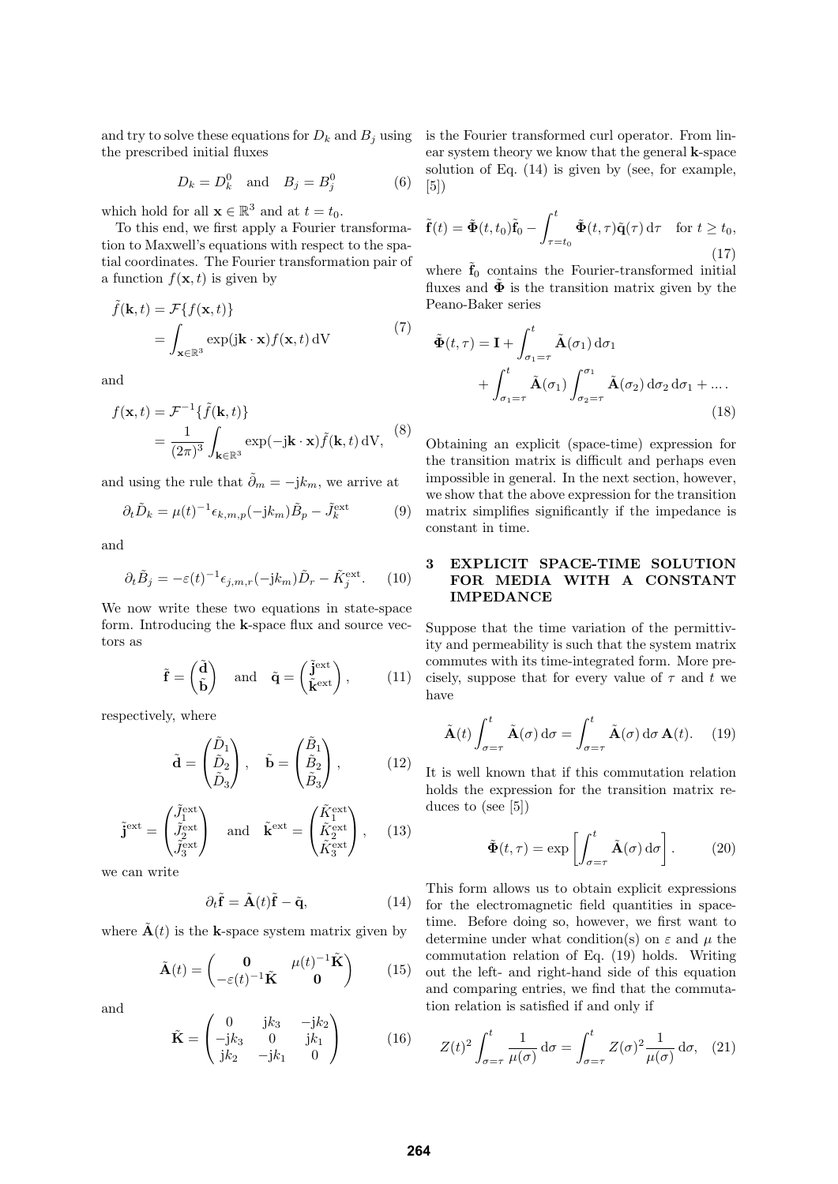and try to solve these equations for  $D_k$  and  $B_j$  using the prescribed initial fluxes

$$
D_k = D_k^0 \quad \text{and} \quad B_j = B_j^0 \tag{6}
$$

which hold for all  $\mathbf{x} \in \mathbb{R}^3$  and at  $t = t_0$ .

To this end, we first apply a Fourier transformation to Maxwell's equations with respect to the spatial coordinates. The Fourier transformation pair of a function  $f(\mathbf{x}, t)$  is given by

$$
\tilde{f}(\mathbf{k},t) = \mathcal{F}\{f(\mathbf{x},t)\}
$$
\n
$$
= \int_{\mathbf{x}\in\mathbb{R}^3} \exp(j\mathbf{k}\cdot\mathbf{x}) f(\mathbf{x},t) \,dV
$$
\n(7)

and

$$
f(\mathbf{x},t) = \mathcal{F}^{-1}\{\tilde{f}(\mathbf{k},t)\}
$$
  
= 
$$
\frac{1}{(2\pi)^3} \int_{\mathbf{k}\in\mathbb{R}^3} \exp(-j\mathbf{k}\cdot\mathbf{x})\tilde{f}(\mathbf{k},t) dV,
$$
 (8)

and using the rule that  $\tilde{\partial}_m = -\mathrm{j}k_m$ , we arrive at

$$
\partial_t \tilde{D}_k = \mu(t)^{-1} \epsilon_{k,m,p}(-jk_m) \tilde{B}_p - \tilde{J}_k^{\text{ext}} \tag{9}
$$

and

$$
\partial_t \tilde{B}_j = -\varepsilon(t)^{-1} \epsilon_{j,m,r}(-jk_m) \tilde{D}_r - \tilde{K}_j^{\text{ext}}.
$$
 (10)

We now write these two equations in state-space form. Introducing the k-space flux and source vectors as

$$
\tilde{\mathbf{f}} = \begin{pmatrix} \tilde{\mathbf{d}} \\ \tilde{\mathbf{b}} \end{pmatrix}
$$
 and  $\tilde{\mathbf{q}} = \begin{pmatrix} \tilde{\mathbf{j}}^{\text{ext}} \\ \tilde{\mathbf{k}}^{\text{ext}} \end{pmatrix}$ , (11)

respectively, where

$$
\tilde{\mathbf{d}} = \begin{pmatrix} \tilde{D}_1 \\ \tilde{D}_2 \\ \tilde{D}_3 \end{pmatrix}, \quad \tilde{\mathbf{b}} = \begin{pmatrix} \tilde{B}_1 \\ \tilde{B}_2 \\ \tilde{B}_3 \end{pmatrix}, \quad (12)
$$

$$
\tilde{\mathbf{j}}^{\text{ext}} = \begin{pmatrix} \tilde{J}_1^{\text{ext}} \\ \tilde{J}_2^{\text{ext}} \\ \tilde{J}_3^{\text{ext}} \end{pmatrix} \quad \text{and} \quad \tilde{\mathbf{k}}^{\text{ext}} = \begin{pmatrix} \tilde{K}_1^{\text{ext}} \\ \tilde{K}_2^{\text{ext}} \\ \tilde{K}_3^{\text{ext}} \end{pmatrix}, \quad (13)
$$

we can write

$$
\partial_t \tilde{\mathbf{f}} = \tilde{\mathbf{A}}(t)\tilde{\mathbf{f}} - \tilde{\mathbf{q}}, \qquad (14)
$$

where  $\mathbf{A}(t)$  is the k-space system matrix given by

$$
\tilde{\mathbf{A}}(t) = \begin{pmatrix} \mathbf{0} & \mu(t)^{-1}\tilde{\mathbf{K}} \\ -\varepsilon(t)^{-1}\tilde{\mathbf{K}} & \mathbf{0} \end{pmatrix} \qquad (15)
$$

and

$$
\tilde{\mathbf{K}} = \begin{pmatrix} 0 & jk_3 & -jk_2 \\ -jk_3 & 0 & jk_1 \\ jk_2 & -jk_1 & 0 \end{pmatrix}
$$
 (16)

is the Fourier transformed curl operator. From linear system theory we know that the general k-space solution of Eq. (14) is given by (see, for example,  $|5|)$ 

$$
\tilde{\mathbf{f}}(t) = \tilde{\mathbf{\Phi}}(t, t_0)\tilde{\mathbf{f}}_0 - \int_{\tau=t_0}^t \tilde{\mathbf{\Phi}}(t, \tau)\tilde{\mathbf{q}}(\tau) d\tau \quad \text{for } t \ge t_0,
$$
\n(17)

where  $\tilde{\mathbf{f}}_0$  contains the Fourier-transformed initial fluxes and  $\tilde{\Phi}$  is the transition matrix given by the Peano-Baker series

$$
\tilde{\Phi}(t,\tau) = \mathbf{I} + \int_{\sigma_1=\tau}^t \tilde{\mathbf{A}}(\sigma_1) d\sigma_1
$$

$$
+ \int_{\sigma_1=\tau}^t \tilde{\mathbf{A}}(\sigma_1) \int_{\sigma_2=\tau}^{\sigma_1} \tilde{\mathbf{A}}(\sigma_2) d\sigma_2 d\sigma_1 + \dots.
$$
(18)

Obtaining an explicit (space-time) expression for the transition matrix is difficult and perhaps even impossible in general. In the next section, however, we show that the above expression for the transition matrix simplifies significantly if the impedance is constant in time.

## 3 EXPLICIT SPACE-TIME SOLUTION FOR MEDIA WITH A CONSTANT IMPEDANCE

Suppose that the time variation of the permittivity and permeability is such that the system matrix commutes with its time-integrated form. More precisely, suppose that for every value of  $\tau$  and t we have

$$
\tilde{\mathbf{A}}(t) \int_{\sigma=\tau}^{t} \tilde{\mathbf{A}}(\sigma) d\sigma = \int_{\sigma=\tau}^{t} \tilde{\mathbf{A}}(\sigma) d\sigma \, \mathbf{A}(t). \tag{19}
$$

It is well known that if this commutation relation holds the expression for the transition matrix reduces to (see [5])

$$
\tilde{\Phi}(t,\tau) = \exp\left[\int_{\sigma=\tau}^{t} \tilde{\mathbf{A}}(\sigma) d\sigma\right].
$$
 (20)

This form allows us to obtain explicit expressions for the electromagnetic field quantities in spacetime. Before doing so, however, we first want to determine under what condition(s) on  $\varepsilon$  and  $\mu$  the commutation relation of Eq. (19) holds. Writing out the left- and right-hand side of this equation and comparing entries, we find that the commutation relation is satisfied if and only if

$$
Z(t)^2 \int_{\sigma=\tau}^t \frac{1}{\mu(\sigma)} d\sigma = \int_{\sigma=\tau}^t Z(\sigma)^2 \frac{1}{\mu(\sigma)} d\sigma, \quad (21)
$$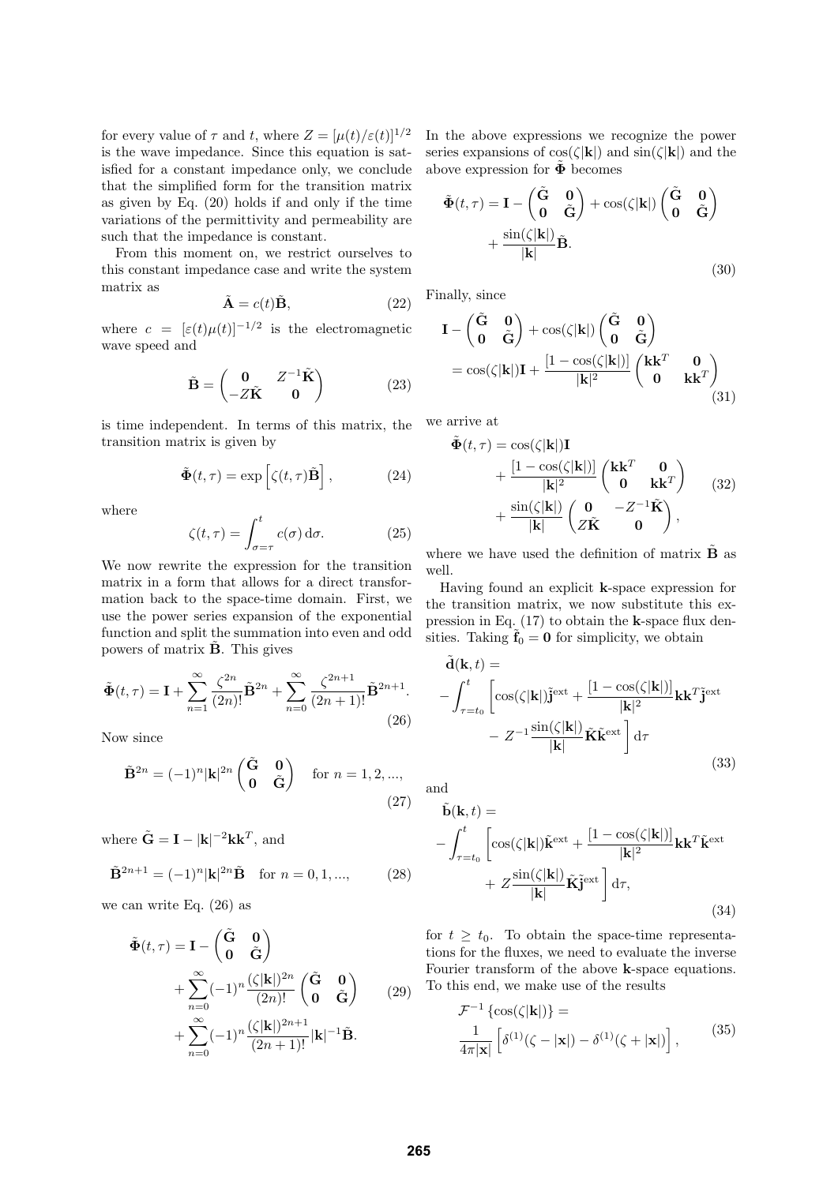for every value of  $\tau$  and t, where  $Z = [\mu(t)/\varepsilon(t)]^{1/2}$ is the wave impedance. Since this equation is satisfied for a constant impedance only, we conclude that the simplified form for the transition matrix as given by Eq. (20) holds if and only if the time variations of the permittivity and permeability are such that the impedance is constant.

From this moment on, we restrict ourselves to this constant impedance case and write the system matrix as

$$
\tilde{\mathbf{A}} = c(t)\tilde{\mathbf{B}},\tag{22}
$$

where  $c = [\varepsilon(t)\mu(t)]^{-1/2}$  is the electromagnetic wave speed and

$$
\tilde{\mathbf{B}} = \begin{pmatrix} \mathbf{0} & Z^{-1}\tilde{\mathbf{K}} \\ -Z\tilde{\mathbf{K}} & \mathbf{0} \end{pmatrix} \tag{23}
$$

is time independent. In terms of this matrix, the we arrive at transition matrix is given by

$$
\tilde{\mathbf{\Phi}}(t,\tau) = \exp\left[\zeta(t,\tau)\tilde{\mathbf{B}}\right],\tag{24}
$$

where

$$
\zeta(t,\tau) = \int_{\sigma=\tau}^{t} c(\sigma) d\sigma.
$$
 (25)

We now rewrite the expression for the transition matrix in a form that allows for a direct transformation back to the space-time domain. First, we use the power series expansion of the exponential function and split the summation into even and odd powers of matrix **B**. This gives

$$
\tilde{\Phi}(t,\tau) = \mathbf{I} + \sum_{n=1}^{\infty} \frac{\zeta^{2n}}{(2n)!} \tilde{\mathbf{B}}^{2n} + \sum_{n=0}^{\infty} \frac{\zeta^{2n+1}}{(2n+1)!} \tilde{\mathbf{B}}^{2n+1}.
$$
\n(26)

Now since

$$
\tilde{\mathbf{B}}^{2n} = (-1)^n |\mathbf{k}|^{2n} \begin{pmatrix} \tilde{\mathbf{G}} & \mathbf{0} \\ \mathbf{0} & \tilde{\mathbf{G}} \end{pmatrix} \quad \text{for } n = 1, 2, ...,
$$
\n(27)

where  $\tilde{\mathbf{G}} = \mathbf{I} - |\mathbf{k}|^{-2} \mathbf{k} \mathbf{k}^T$ , and

$$
\tilde{\mathbf{B}}^{2n+1} = (-1)^n |\mathbf{k}|^{2n} \tilde{\mathbf{B}} \quad \text{for } n = 0, 1, ..., \tag{28}
$$

we can write Eq. (26) as

$$
\tilde{\Phi}(t,\tau) = \mathbf{I} - \begin{pmatrix} \tilde{\mathbf{G}} & \mathbf{0} \\ \mathbf{0} & \tilde{\mathbf{G}} \end{pmatrix} + \sum_{n=0}^{\infty} (-1)^n \frac{(\zeta|\mathbf{k}|)^{2n}}{(2n)!} \begin{pmatrix} \tilde{\mathbf{G}} & \mathbf{0} \\ \mathbf{0} & \tilde{\mathbf{G}} \end{pmatrix}
$$
\n
$$
+ \sum_{n=0}^{\infty} (-1)^n \frac{(\zeta|\mathbf{k}|)^{2n+1}}{(2n+1)!} |\mathbf{k}|^{-1} \tilde{\mathbf{B}}.
$$
\n(29)

In the above expressions we recognize the power series expansions of  $cos(\zeta|\mathbf{k}|)$  and  $sin(\zeta|\mathbf{k}|)$  and the above expression for  $\ddot{\Phi}$  becomes

$$
\tilde{\Phi}(t,\tau) = \mathbf{I} - \begin{pmatrix} \tilde{\mathbf{G}} & \mathbf{0} \\ \mathbf{0} & \tilde{\mathbf{G}} \end{pmatrix} + \cos(\zeta|\mathbf{k}|) \begin{pmatrix} \tilde{\mathbf{G}} & \mathbf{0} \\ \mathbf{0} & \tilde{\mathbf{G}} \end{pmatrix} + \frac{\sin(\zeta|\mathbf{k}|)}{|\mathbf{k}|} \tilde{\mathbf{B}}.
$$
\n(30)

Finally, since

$$
\mathbf{I} - \begin{pmatrix} \tilde{\mathbf{G}} & \mathbf{0} \\ \mathbf{0} & \tilde{\mathbf{G}} \end{pmatrix} + \cos(\zeta|\mathbf{k}|) \begin{pmatrix} \tilde{\mathbf{G}} & \mathbf{0} \\ \mathbf{0} & \tilde{\mathbf{G}} \end{pmatrix}
$$
  
=  $\cos(\zeta|\mathbf{k}|)\mathbf{I} + \frac{[1 - \cos(\zeta|\mathbf{k}|)]}{|\mathbf{k}|^2} \begin{pmatrix} \mathbf{k}\mathbf{k}^T & \mathbf{0} \\ \mathbf{0} & \mathbf{k}\mathbf{k}^T \end{pmatrix}$ (31)

$$
\tilde{\Phi}(t,\tau) = \cos(\zeta|\mathbf{k}|)\mathbf{I} \n+ \frac{[1-\cos(\zeta|\mathbf{k}|)]}{|\mathbf{k}|^2} \begin{pmatrix} \mathbf{k}\mathbf{k}^T & \mathbf{0} \\ \mathbf{0} & \mathbf{k}\mathbf{k}^T \end{pmatrix} \n+ \frac{\sin(\zeta|\mathbf{k}|)}{|\mathbf{k}|} \begin{pmatrix} \mathbf{0} & -Z^{-1}\tilde{\mathbf{K}} \\ Z\tilde{\mathbf{K}} & \mathbf{0} \end{pmatrix},
$$
\n(32)

where we have used the definition of matrix  $\tilde{\mathbf{B}}$  as well.

Having found an explicit k-space expression for the transition matrix, we now substitute this expression in Eq. (17) to obtain the k-space flux densities. Taking  $\tilde{\mathbf{f}}_0 = \mathbf{0}$  for simplicity, we obtain

$$
\tilde{\mathbf{d}}(\mathbf{k},t) = \n-\int_{\tau=t_0}^{t} \left[ \cos(\zeta|\mathbf{k}|) \tilde{\mathbf{j}}^{\text{ext}} + \frac{\left[1 - \cos(\zeta|\mathbf{k}|)\right]}{|\mathbf{k}|^2} \mathbf{k} \mathbf{k}^T \tilde{\mathbf{j}}^{\text{ext}} - Z^{-1} \frac{\sin(\zeta|\mathbf{k}|)}{|\mathbf{k}|} \tilde{\mathbf{K}} \tilde{\mathbf{k}}^{\text{ext}} \right] d\tau
$$
\n(33)

and

$$
\tilde{\mathbf{b}}(\mathbf{k},t) = \n-\int_{\tau=t_0}^{t} \left[ \cos(\zeta|\mathbf{k}|) \tilde{\mathbf{k}}^{\text{ext}} + \frac{\left[1 - \cos(\zeta|\mathbf{k}|)\right]}{|\mathbf{k}|^2} \mathbf{k} \mathbf{k}^T \tilde{\mathbf{k}}^{\text{ext}} + Z \frac{\sin(\zeta|\mathbf{k}|)}{|\mathbf{k}|} \tilde{\mathbf{K}} \tilde{\mathbf{j}}^{\text{ext}} \right] d\tau,
$$
\n(34)

for  $t \geq t_0$ . To obtain the space-time representations for the fluxes, we need to evaluate the inverse Fourier transform of the above k-space equations. To this end, we make use of the results

$$
\mathcal{F}^{-1}\left\{\cos(\zeta|\mathbf{k}|)\right\} =
$$
  

$$
\frac{1}{4\pi|\mathbf{x}|}\left[\delta^{(1)}(\zeta-|\mathbf{x}|)-\delta^{(1)}(\zeta+|\mathbf{x}|)\right],
$$
 (35)